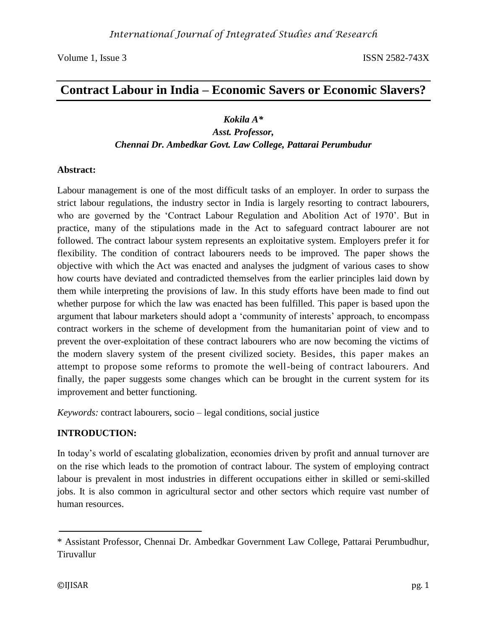# **Contract Labour in India – Economic Savers or Economic Slavers?**

### *Kokila A\**

#### *Asst. Professor, Chennai Dr. Ambedkar Govt. Law College, Pattarai Perumbudur*

#### **Abstract:**

Labour management is one of the most difficult tasks of an employer. In order to surpass the strict labour regulations, the industry sector in India is largely resorting to contract labourers, who are governed by the 'Contract Labour Regulation and Abolition Act of 1970'. But in practice, many of the stipulations made in the Act to safeguard contract labourer are not followed. The contract labour system represents an exploitative system. Employers prefer it for flexibility. The condition of contract labourers needs to be improved. The paper shows the objective with which the Act was enacted and analyses the judgment of various cases to show how courts have deviated and contradicted themselves from the earlier principles laid down by them while interpreting the provisions of law. In this study efforts have been made to find out whether purpose for which the law was enacted has been fulfilled. This paper is based upon the argument that labour marketers should adopt a 'community of interests' approach, to encompass contract workers in the scheme of development from the humanitarian point of view and to prevent the over-exploitation of these contract labourers who are now becoming the victims of the modern slavery system of the present civilized society*.* Besides, this paper makes an attempt to propose some reforms to promote the well-being of contract labourers. And finally, the paper suggests some changes which can be brought in the current system for its improvement and better functioning.

*Keywords:* contract labourers, socio – legal conditions, social justice

# **INTRODUCTION:**

In today's world of escalating globalization, economies driven by profit and annual turnover are on the rise which leads to the promotion of contract labour. The system of employing contract labour is prevalent in most industries in different occupations either in skilled or semi-skilled jobs. It is also common in agricultural sector and other sectors which require vast number of human resources.

<sup>\*</sup> Assistant Professor, Chennai Dr. Ambedkar Government Law College, Pattarai Perumbudhur, Tiruvallur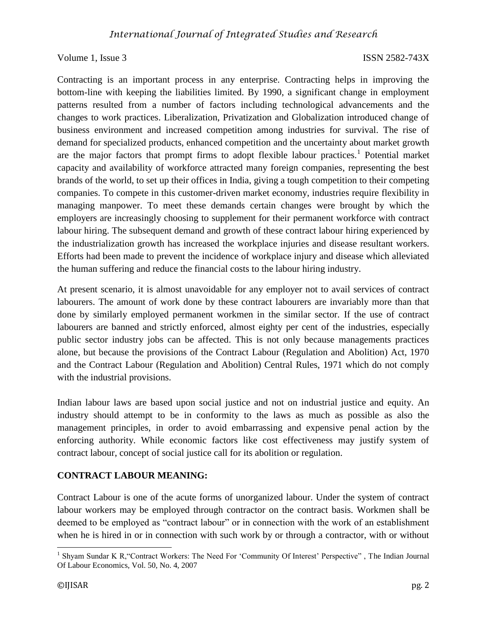Contracting is an important process in any enterprise. Contracting helps in improving the bottom-line with keeping the liabilities limited. By 1990, a significant change in employment patterns resulted from a number of factors including technological advancements and the changes to work practices. Liberalization, Privatization and Globalization introduced change of business environment and increased competition among industries for survival. The rise of demand for specialized products, enhanced competition and the uncertainty about market growth are the major factors that prompt firms to adopt flexible labour practices.<sup>1</sup> Potential market capacity and availability of workforce attracted many foreign companies, representing the best brands of the world, to set up their offices in India, giving a tough competition to their competing companies. To compete in this customer-driven market economy, industries require flexibility in managing manpower. To meet these demands certain changes were brought by which the employers are increasingly choosing to supplement for their permanent workforce with contract labour hiring. The subsequent demand and growth of these contract labour hiring experienced by the industrialization growth has increased the workplace injuries and disease resultant workers. Efforts had been made to prevent the incidence of workplace injury and disease which alleviated the human suffering and reduce the financial costs to the labour hiring industry.

At present scenario, it is almost unavoidable for any employer not to avail services of contract labourers. The amount of work done by these contract labourers are invariably more than that done by similarly employed permanent workmen in the similar sector. If the use of contract labourers are banned and strictly enforced, almost eighty per cent of the industries, especially public sector industry jobs can be affected. This is not only because managements practices alone, but because the provisions of the Contract Labour (Regulation and Abolition) Act, 1970 and the Contract Labour (Regulation and Abolition) Central Rules, 1971 which do not comply with the industrial provisions.

Indian labour laws are based upon social justice and not on industrial justice and equity. An industry should attempt to be in conformity to the laws as much as possible as also the management principles, in order to avoid embarrassing and expensive penal action by the enforcing authority. While economic factors like cost effectiveness may justify system of contract labour, concept of social justice call for its abolition or regulation.

#### **CONTRACT LABOUR MEANING:**

Contract Labour is one of the acute forms of unorganized labour. Under the system of contract labour workers may be employed through contractor on the contract basis. Workmen shall be deemed to be employed as "contract labour" or in connection with the work of an establishment when he is hired in or in connection with such work by or through a contractor, with or without

<sup>&</sup>lt;sup>1</sup> Shyam Sundar K R, "Contract Workers: The Need For 'Community Of Interest' Perspective", The Indian Journal Of Labour Economics, Vol. 50, No. 4, 2007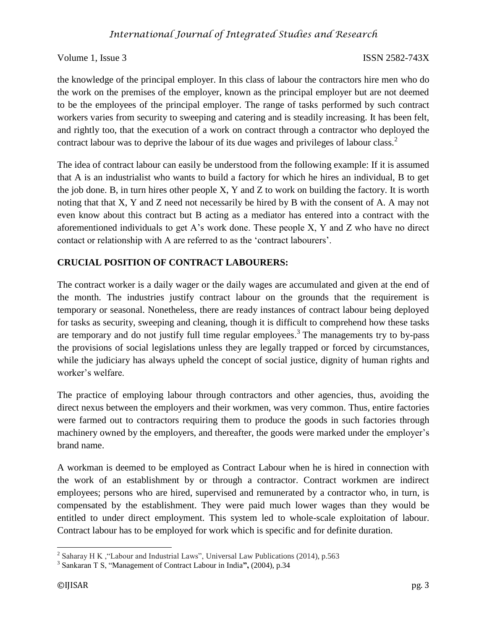the knowledge of the principal employer. In this class of labour the contractors hire men who do the work on the premises of the employer, known as the principal employer but are not deemed to be the employees of the principal employer. The range of tasks performed by such contract workers varies from security to sweeping and catering and is steadily increasing. It has been felt, and rightly too, that the execution of a work on contract through a contractor who deployed the contract labour was to deprive the labour of its due wages and privileges of labour class.<sup>2</sup>

The idea of contract labour can easily be understood from the following example: If it is assumed that A is an industrialist who wants to build a factory for which he hires an individual, B to get the job done. B, in turn hires other people X, Y and Z to work on building the factory. It is worth noting that that X, Y and Z need not necessarily be hired by B with the consent of A. A may not even know about this contract but B acting as a mediator has entered into a contract with the aforementioned individuals to get A's work done. These people X, Y and Z who have no direct contact or relationship with A are referred to as the 'contract labourers'.

# **CRUCIAL POSITION OF CONTRACT LABOURERS:**

The contract worker is a daily wager or the daily wages are accumulated and given at the end of the month. The industries justify contract labour on the grounds that the requirement is temporary or seasonal. Nonetheless, there are ready instances of contract labour being deployed for tasks as security, sweeping and cleaning, though it is difficult to comprehend how these tasks are temporary and do not justify full time regular employees.<sup>3</sup> The managements try to by-pass the provisions of social legislations unless they are legally trapped or forced by circumstances, while the judiciary has always upheld the concept of social justice, dignity of human rights and worker's welfare.

The practice of employing labour through contractors and other agencies, thus, avoiding the direct nexus between the employers and their workmen, was very common. Thus, entire factories were farmed out to contractors requiring them to produce the goods in such factories through machinery owned by the employers, and thereafter, the goods were marked under the employer's brand name.

A workman is deemed to be employed as Contract Labour when he is hired in connection with the work of an establishment by or through a contractor. Contract workmen are indirect employees; persons who are hired, supervised and remunerated by a contractor who, in turn, is compensated by the establishment. They were paid much lower wages than they would be entitled to under direct employment. This system led to whole-scale exploitation of labour. Contract labour has to be employed for work which is specific and for definite duration.

<sup>&</sup>lt;sup>2</sup> Saharay H K , "Labour and Industrial Laws", Universal Law Publications (2014), p.563

<sup>3</sup> Sankaran T S, "Management of Contract Labour in India**",** (2004), p.34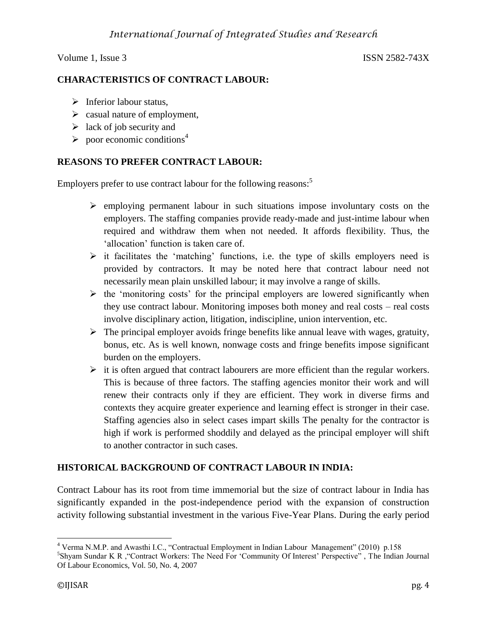# **CHARACTERISTICS OF CONTRACT LABOUR:**

- $\triangleright$  Inferior labour status,
- $\triangleright$  casual nature of employment,
- $\geq$  lack of job security and
- $\triangleright$  poor economic conditions<sup>4</sup>

# **REASONS TO PREFER CONTRACT LABOUR:**

Employers prefer to use contract labour for the following reasons:<sup>5</sup>

- $\triangleright$  employing permanent labour in such situations impose involuntary costs on the employers. The staffing companies provide ready-made and just-intime labour when required and withdraw them when not needed. It affords flexibility. Thus, the 'allocation' function is taken care of.
- $\triangleright$  it facilitates the 'matching' functions, i.e. the type of skills employers need is provided by contractors. It may be noted here that contract labour need not necessarily mean plain unskilled labour; it may involve a range of skills.
- $\triangleright$  the 'monitoring costs' for the principal employers are lowered significantly when they use contract labour. Monitoring imposes both money and real costs – real costs involve disciplinary action, litigation, indiscipline, union intervention, etc.
- $\triangleright$  The principal employer avoids fringe benefits like annual leave with wages, gratuity, bonus, etc. As is well known, nonwage costs and fringe benefits impose significant burden on the employers.
- $\triangleright$  it is often argued that contract labourers are more efficient than the regular workers. This is because of three factors. The staffing agencies monitor their work and will renew their contracts only if they are efficient. They work in diverse firms and contexts they acquire greater experience and learning effect is stronger in their case. Staffing agencies also in select cases impart skills The penalty for the contractor is high if work is performed shoddily and delayed as the principal employer will shift to another contractor in such cases.

# **HISTORICAL BACKGROUND OF CONTRACT LABOUR IN INDIA:**

Contract Labour has its root from time immemorial but the size of contract labour in India has significantly expanded in the post-independence period with the expansion of construction activity following substantial investment in the various Five-Year Plans. During the early period

 $\overline{a}$ <sup>4</sup> Verma N.M.P. and Awasthi I.C., "Contractual Employment in Indian Labour Management" (2010) p.158

<sup>5</sup> Shyam Sundar K R ,"Contract Workers: The Need For 'Community Of Interest' Perspective" , The Indian Journal Of Labour Economics, Vol. 50, No. 4, 2007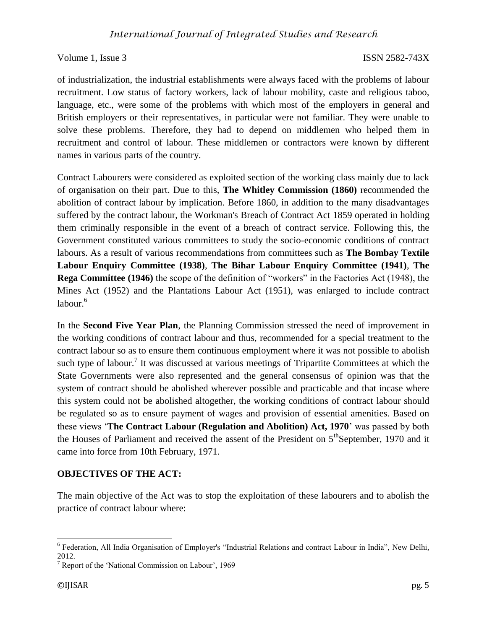of industrialization, the industrial establishments were always faced with the problems of labour recruitment. Low status of factory workers, lack of labour mobility, caste and religious taboo, language, etc., were some of the problems with which most of the employers in general and British employers or their representatives, in particular were not familiar. They were unable to solve these problems. Therefore, they had to depend on middlemen who helped them in recruitment and control of labour. These middlemen or contractors were known by different names in various parts of the country.

Contract Labourers were considered as exploited section of the working class mainly due to lack of organisation on their part. Due to this, **The Whitley Commission (1860)** recommended the abolition of contract labour by implication. Before 1860, in addition to the many disadvantages suffered by the contract labour, the Workman's Breach of Contract Act 1859 operated in holding them criminally responsible in the event of a breach of contract service. Following this, the Government constituted various committees to study the socio-economic conditions of contract labours. As a result of various recommendations from committees such as **The Bombay Textile Labour Enquiry Committee (1938)**, **The Bihar Labour Enquiry Committee (1941)**, **The Rega Committee (1946)** the scope of the definition of "workers" in the Factories Act (1948), the Mines Act (1952) and the Plantations Labour Act (1951), was enlarged to include contract  $labour<sup>6</sup>$ 

In the **Second Five Year Plan**, the Planning Commission stressed the need of improvement in the working conditions of contract labour and thus, recommended for a special treatment to the contract labour so as to ensure them continuous employment where it was not possible to abolish such type of labour.<sup>7</sup> It was discussed at various meetings of Tripartite Committees at which the State Governments were also represented and the general consensus of opinion was that the system of contract should be abolished wherever possible and practicable and that incase where this system could not be abolished altogether, the working conditions of contract labour should be regulated so as to ensure payment of wages and provision of essential amenities. Based on these views '**The Contract Labour (Regulation and Abolition) Act, 1970**' was passed by both the Houses of Parliament and received the assent of the President on  $5<sup>th</sup>$ September, 1970 and it came into force from 10th February, 1971.

#### **OBJECTIVES OF THE ACT:**

The main objective of the Act was to stop the exploitation of these labourers and to abolish the practice of contract labour where:

<sup>&</sup>lt;sup>6</sup> Federation, All India Organisation of Employer's "Industrial Relations and contract Labour in India", New Delhi, 2012.

 $7$  Report of the 'National Commission on Labour', 1969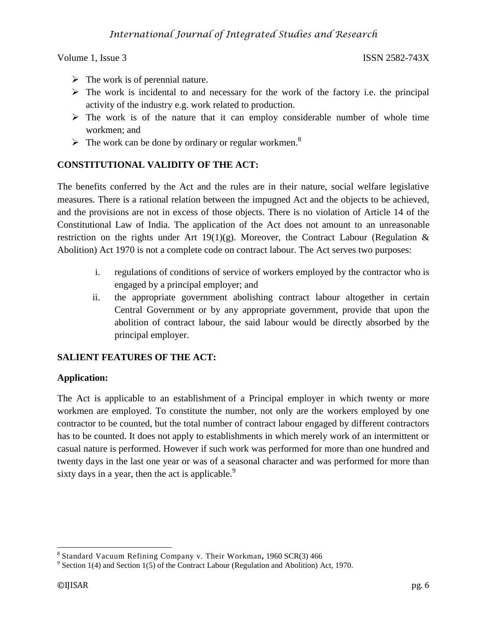- $\triangleright$  The work is of perennial nature.
- $\triangleright$  The work is incidental to and necessary for the work of the factory i.e. the principal activity of the industry e.g. work related to production.
- $\triangleright$  The work is of the nature that it can employ considerable number of whole time workmen; and
- $\triangleright$  The work can be done by ordinary or regular workmen.<sup>8</sup>

# **[CONSTITUTIONA](http://www.legalserviceindia.com/constitution/const_home.htm)L VALIDITY OF THE ACT:**

The benefits conferred by the Act and the rules are in their nature, social welfare legislative measures. There is a rational relation between the impugned Act and the objects to be achieved, and the provisions are not in excess of those objects. There is no violation of Article 14 of the Constitutional Law of India. The application of the Act does not amount to an unreasonable restriction on the rights under Art  $19(1)(g)$ . Moreover, the Contract Labour (Regulation & Abolition) Act 1970 is not a complete code on contract labour. The Act serves two purposes:

- i. regulations of conditions of service of workers employed by the contractor who is engaged by a principal employer; and
- ii. the appropriate government abolishing contract labour altogether in certain Central Government or by any appropriate government, provide that upon the abolition of contract labour, the said labour would be directly absorbed by the principal employer.

#### **SALIENT FEATURES OF THE ACT:**

#### **Application:**

The Act is applicable to an establishment of a Principal employer in which twenty or more workmen are employed. To constitute the number, not only are the workers employed by one contractor to be counted, but the total number of contract labour engaged by different contractors has to be counted. It does not apply to establishments in which merely work of an intermittent or casual nature is performed. However if such work was performed for more than one hundred and twenty days in the last one year or was of a seasonal character and was performed for more than sixty days in a year, then the act is applicable. $9$ 

 8 Standard Vacuum Refining Company v. Their Workman*,* 1960 SCR(3) 466

 $9^9$  Section 1(4) and Section 1(5) of the Contract Labour (Regulation and Abolition) Act, 1970.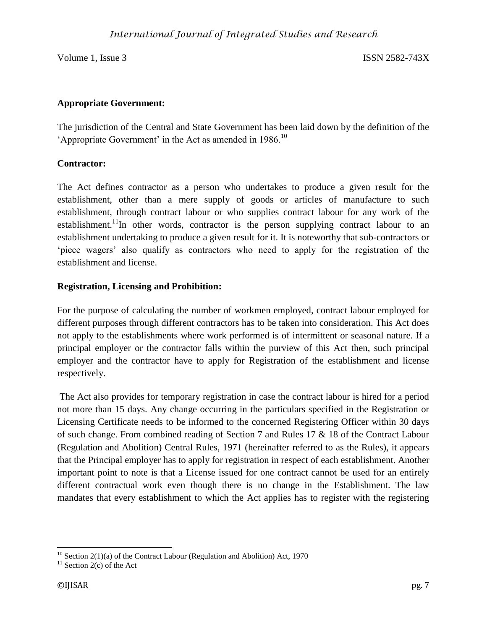#### **Appropriate Government:**

The jurisdiction of the Central and State Government has been laid down by the definition of the 'Appropriate Government' in the Act as amended in  $1986$ <sup>10</sup>

### **Contractor:**

The Act defines contractor as a person who undertakes to produce a given result for the establishment, other than a mere supply of goods or articles of manufacture to such establishment, through contract labour or who supplies contract labour for any work of the establishment.<sup>11</sup>In other words, contractor is the person supplying contract labour to an establishment undertaking to produce a given result for it. It is noteworthy that sub-contractors or 'piece wagers' also qualify as contractors who need to apply for the registration of the establishment and license.

### **Registration, Licensing and Prohibition:**

For the purpose of calculating the number of workmen employed, contract labour employed for different purposes through different contractors has to be taken into consideration. This Act does not apply to the establishments where work performed is of intermittent or seasonal nature. If a principal employer or the contractor falls within the purview of this Act then, such principal employer and the contractor have to apply for Registration of the establishment and license respectively.

The Act also provides for temporary registration in case the contract labour is hired for a period not more than 15 days. Any change occurring in the particulars specified in the Registration or Licensing Certificate needs to be informed to the concerned Registering Officer within 30 days of such change. From combined reading of Section 7 and Rules 17 & 18 of the Contract Labour (Regulation and Abolition) Central Rules, 1971 (hereinafter referred to as the Rules), it appears that the Principal employer has to apply for registration in respect of each establishment. Another important point to note is that a License issued for one contract cannot be used for an entirely different contractual work even though there is no change in the Establishment. The law mandates that every establishment to which the Act applies has to register with the registering

 $\overline{\phantom{a}}$ 

 $10$  Section 2(1)(a) of the Contract Labour (Regulation and Abolition) Act, 1970

 $11$  Section 2(c) of the Act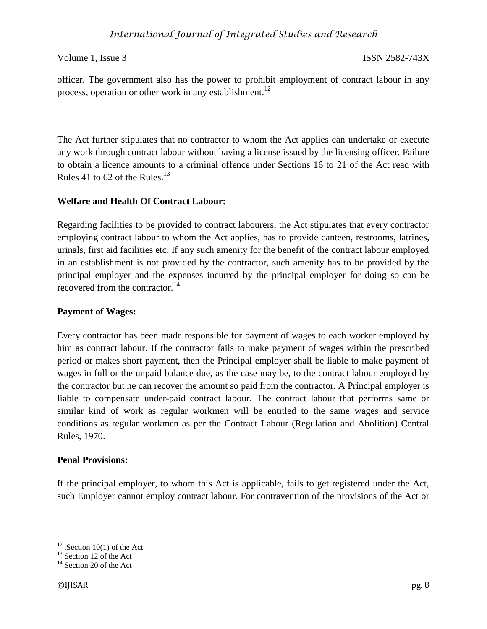officer. The government also has the power to prohibit employment of contract labour in any process, operation or other work in any establishment.<sup>12</sup>

The Act further stipulates that no contractor to whom the Act applies can undertake or execute any work through contract labour without having a license issued by the licensing officer. Failure to obtain a licence amounts to a criminal offence under Sections 16 to 21 of the Act read with Rules 41 to 62 of the Rules. $^{13}$ 

### **Welfare and Health Of Contract Labour:**

Regarding facilities to be provided to contract labourers, the Act stipulates that every contractor employing contract labour to whom the Act applies, has to provide canteen, restrooms, latrines, urinals, first aid facilities etc. If any such amenity for the benefit of the contract labour employed in an establishment is not provided by the contractor, such amenity has to be provided by the principal employer and the expenses incurred by the principal employer for doing so can be recovered from the contractor.<sup>14</sup>

### **Payment of Wages:**

Every contractor has been made responsible for payment of wages to each worker employed by him as contract labour. If the contractor fails to make payment of wages within the prescribed period or makes short payment, then the Principal employer shall be liable to make payment of wages in full or the unpaid balance due, as the case may be, to the contract labour employed by the contractor but he can recover the amount so paid from the contractor. A Principal employer is liable to compensate under-paid contract labour. The contract labour that performs same or similar kind of work as regular workmen will be entitled to the same wages and service conditions as regular workmen as per the Contract Labour (Regulation and Abolition) Central Rules, 1970.

#### **Penal Provisions:**

If the principal employer, to whom this Act is applicable, fails to get registered under the Act, such Employer cannot employ contract labour. For contravention of the provisions of the Act or

 $\overline{a}$ 

 $12$ . Section 10(1) of the Act

 $^{13}$  Section 12 of the Act

<sup>&</sup>lt;sup>14</sup> Section 20 of the Act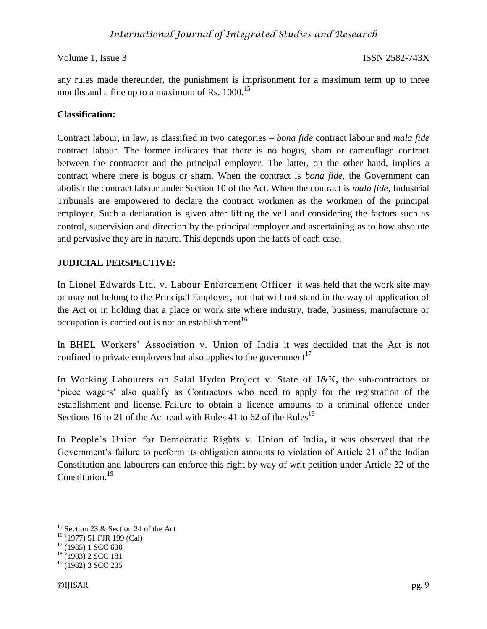any rules made thereunder, the punishment is imprisonment for a maximum term up to three months and a fine up to a maximum of Rs.  $1000$ <sup>15</sup>

### **Classification:**

Contract labour, in law, is classified in two categories – *bona fide* contract labour and *mala fide* contract labour. The former indicates that there is no bogus, sham or camouflage contract between the contractor and the principal employer. The latter, on the other hand, implies a contract where there is bogus or sham. When the contract is *bona fide*, the Government can abolish the contract labour under Section 10 of the Act. When the contract is *mala fide*, Industrial Tribunals are empowered to declare the contract workmen as the workmen of the principal employer. Such a declaration is given after lifting the veil and considering the factors such as control, supervision and direction by the principal employer and ascertaining as to how absolute and pervasive they are in nature. This depends upon the facts of each case.

# **JUDICIAL PERSPECTIVE:**

In Lionel Edwards Ltd. v. Labour Enforcement Officer it was held that the work site may or may not belong to the Principal Employer, but that will not stand in the way of application of the Act or in holding that a place or work site where industry, trade, business, manufacture or occupation is carried out is not an establishment<sup>16</sup>

In BHEL Workers' Association v. Union of India it was decdided that the Act is not confined to private employers but also applies to the government<sup>17</sup>

In Working Labourers on Salal Hydro Project v. State of J&K**,** the sub-contractors or 'piece wagers' also qualify as Contractors who need to apply for the registration of the establishment and license. Failure to obtain a licence amounts to a criminal offence under Sections 16 to 21 of the Act read with Rules 41 to 62 of the Rules<sup>18</sup>

In People's Union for Democratic Rights v. Union of India**,** it was observed that the Government's failure to perform its obligation amounts to violation of Article 21 of the Indian Constitution and labourers can enforce this right by way of writ petition under Article 32 of the Constitution.<sup>19</sup>

 $\overline{\phantom{a}}$ 

<sup>&</sup>lt;sup>15</sup> Section 23 & Section 24 of the Act

<sup>16</sup> (1977) 51 FJR 199 (Cal)

 $17(1985)$  1 SCC 630

 $18(1983)$  2 SCC 181

 $19$  (1982) 3 SCC 235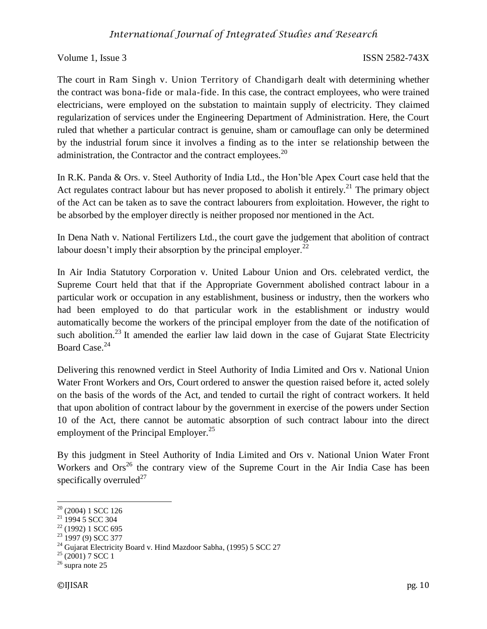The court in Ram Singh v. Union Territory of Chandigarh dealt with determining whether the contract was bona-fide or mala-fide. In this case, the contract employees, who were trained electricians, were employed on the substation to maintain supply of electricity. They claimed regularization of services under the Engineering Department of Administration. Here, the Court ruled that whether a particular contract is genuine, sham or camouflage can only be determined by the industrial forum since it involves a finding as to the inter se relationship between the administration, the Contractor and the contract employees.<sup>20</sup>

In R.K. Panda & Ors. v. Steel Authority of India Ltd., the Hon'ble Apex Court case held that the Act regulates contract labour but has never proposed to abolish it entirely.<sup>21</sup> The primary object of the Act can be taken as to save the contract labourers from exploitation. However, the right to be absorbed by the employer directly is neither proposed nor mentioned in the Act.

In Dena Nath v. National Fertilizers Ltd., the court gave the judgement that abolition of contract labour doesn't imply their absorption by the principal employer.<sup>22</sup>

In Air India Statutory Corporation v. United Labour Union and Ors. celebrated verdict, the Supreme Court held that that if the Appropriate Government abolished contract labour in a particular work or occupation in any establishment, business or industry, then the workers who had been employed to do that particular work in the establishment or industry would automatically become the workers of the principal employer from the date of the notification of such abolition.<sup>23</sup> It amended the earlier law laid down in the case of Gujarat State Electricity Board Case.<sup>24</sup>

Delivering this renowned verdict in Steel Authority of India Limited and Ors v. National Union Water Front Workers and Ors, Court ordered to answer the question raised before it, acted solely on the basis of the words of the Act, and tended to curtail the right of contract workers. It held that upon abolition of contract labour by the government in exercise of the powers under Section 10 of the Act, there cannot be automatic absorption of such contract labour into the direct employment of the Principal Employer.<sup>25</sup>

By this judgment in Steel Authority of India Limited and Ors v. National Union Water Front Workers and  $\text{Ors}^{26}$  the contrary view of the Supreme Court in the Air India Case has been specifically overruled<sup>27</sup>

 $\overline{\phantom{a}}$ 

 $20$  (2004) 1 SCC 126

 $21 \overline{)}$  1994 5 SCC 304

 $22$  (1992) 1 SCC 695

 $23$  1997 (9) SCC 377

<sup>&</sup>lt;sup>24</sup> Gujarat Electricity Board v. Hind Mazdoor Sabha, (1995) 5 SCC 27

 $25$  (2001) 7 SCC 1

<sup>26</sup> supra note 25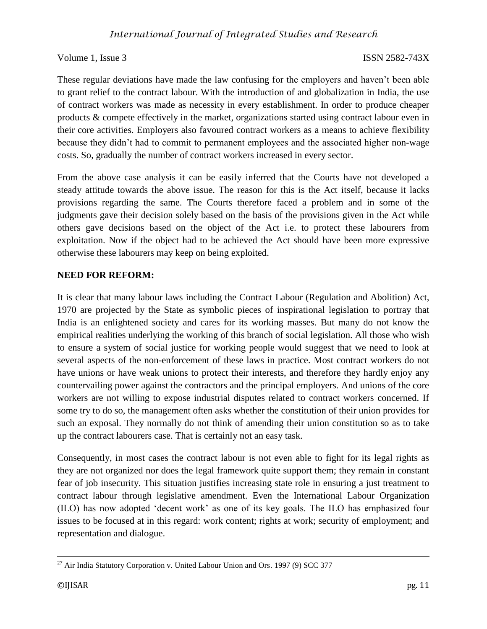These regular deviations have made the law confusing for the employers and haven't been able to grant relief to the contract labour. With the introduction of and globalization in India, the use of contract workers was made as necessity in every establishment. In order to produce cheaper products & compete effectively in the market, organizations started using contract labour even in their core activities. Employers also favoured contract workers as a means to achieve flexibility because they didn't had to commit to permanent employees and the associated higher non-wage costs. So, gradually the number of contract workers increased in every sector.

From the above case analysis it can be easily inferred that the Courts have not developed a steady attitude towards the above issue. The reason for this is the Act itself, because it lacks provisions regarding the same. The Courts therefore faced a problem and in some of the judgments gave their decision solely based on the basis of the provisions given in the Act while others gave decisions based on the object of the Act i.e. to protect these labourers from exploitation. Now if the object had to be achieved the Act should have been more expressive otherwise these labourers may keep on being exploited.

#### **NEED FOR REFORM:**

It is clear that many labour laws including the Contract Labour (Regulation and Abolition) Act, 1970 are projected by the State as symbolic pieces of inspirational legislation to portray that India is an enlightened society and cares for its working masses. But many do not know the empirical realities underlying the working of this branch of social legislation. All those who wish to ensure a system of social justice for working people would suggest that we need to look at several aspects of the non-enforcement of these laws in practice. Most contract workers do not have unions or have weak unions to protect their interests, and therefore they hardly enjoy any countervailing power against the contractors and the principal employers. And unions of the core workers are not willing to expose industrial disputes related to contract workers concerned. If some try to do so, the management often asks whether the constitution of their union provides for such an exposal. They normally do not think of amending their union constitution so as to take up the contract labourers case. That is certainly not an easy task.

Consequently, in most cases the contract labour is not even able to fight for its legal rights as they are not organized nor does the legal framework quite support them; they remain in constant fear of job insecurity. This situation justifies increasing state role in ensuring a just treatment to contract labour through legislative amendment. Even the International Labour Organization (ILO) has now adopted 'decent work' as one of its key goals. The ILO has emphasized four issues to be focused at in this regard: work content; rights at work; security of employment; and representation and dialogue.

 $\overline{\phantom{a}}$  $^{27}$  Air India Statutory Corporation v. United Labour Union and Ors. 1997 (9) SCC 377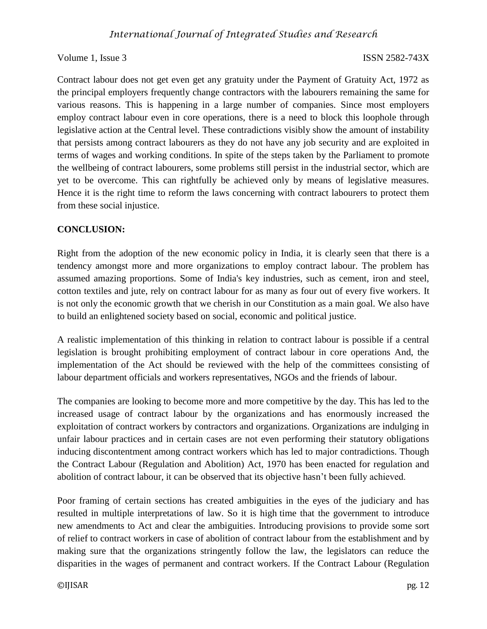Contract labour does not get even get any gratuity under the Payment of Gratuity Act, 1972 as the principal employers frequently change contractors with the labourers remaining the same for various reasons. This is happening in a large number of companies. Since most employers employ contract labour even in core operations, there is a need to block this loophole through legislative action at the Central level. These contradictions visibly show the amount of instability that persists among contract labourers as they do not have any job security and are exploited in terms of wages and working conditions. In spite of the steps taken by the Parliament to promote the wellbeing of contract labourers, some problems still persist in the industrial sector, which are yet to be overcome. This can rightfully be achieved only by means of legislative measures. Hence it is the right time to reform the laws concerning with contract labourers to protect them from these social injustice.

#### **CONCLUSION:**

Right from the adoption of the new economic policy in India, it is clearly seen that there is a tendency amongst more and more organizations to employ contract labour. The problem has assumed amazing proportions. Some of India's key industries, such as cement, iron and steel, cotton textiles and jute, rely on contract labour for as many as four out of every five workers. It is not only the economic growth that we cherish in our Constitution as a main goal. We also have to build an enlightened society based on social, economic and political justice.

A realistic implementation of this thinking in relation to contract labour is possible if a central legislation is brought prohibiting employment of contract labour in core operations And, the implementation of the Act should be reviewed with the help of the committees consisting of labour department officials and workers representatives, NGOs and the friends of labour.

The companies are looking to become more and more competitive by the day. This has led to the increased usage of contract labour by the organizations and has enormously increased the exploitation of contract workers by contractors and organizations. Organizations are indulging in unfair labour practices and in certain cases are not even performing their statutory obligations inducing discontentment among contract workers which has led to major contradictions. Though the Contract Labour (Regulation and Abolition) Act, 1970 has been enacted for regulation and abolition of contract labour, it can be observed that its objective hasn't been fully achieved.

Poor framing of certain sections has created ambiguities in the eyes of the judiciary and has resulted in multiple interpretations of law. So it is high time that the government to introduce new amendments to Act and clear the ambiguities. Introducing provisions to provide some sort of relief to contract workers in case of abolition of contract labour from the establishment and by making sure that the organizations stringently follow the law, the legislators can reduce the disparities in the wages of permanent and contract workers. If the Contract Labour (Regulation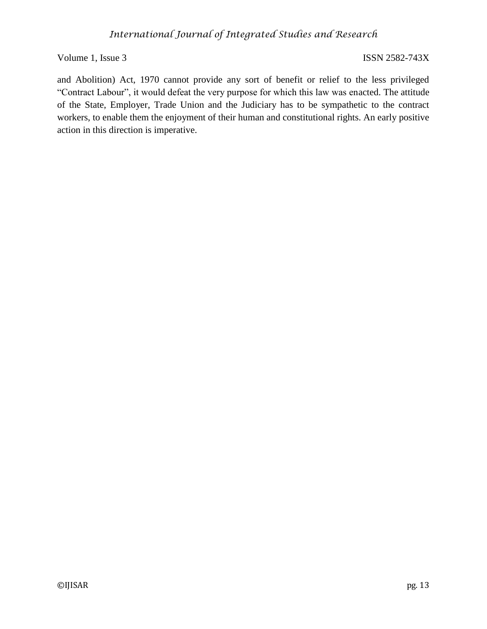and Abolition) Act, 1970 cannot provide any sort of benefit or relief to the less privileged "Contract Labour", it would defeat the very purpose for which this law was enacted. The attitude of the State, Employer, Trade Union and the Judiciary has to be sympathetic to the contract workers, to enable them the enjoyment of their human and constitutional rights. An early positive action in this direction is imperative.